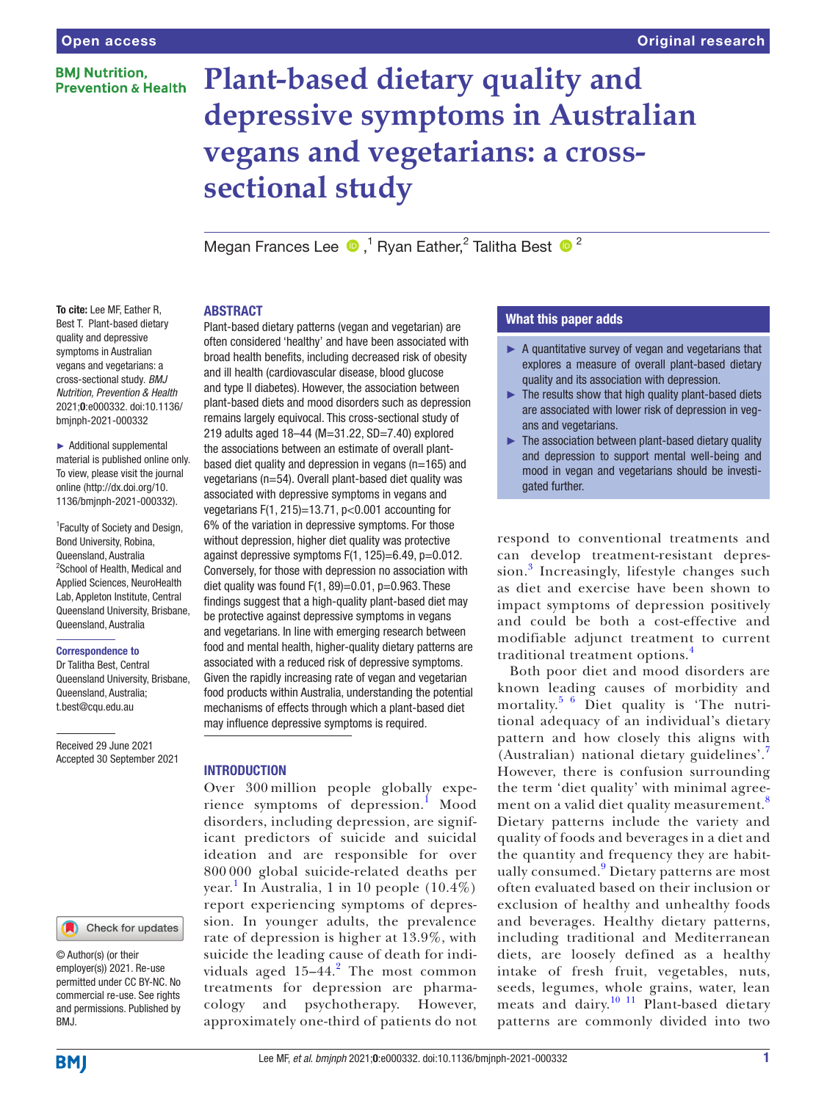#### **BMI Nutrition. Prevention & Health**

# **Plant-based dietary quality and depressive symptoms in Australian vegans and vegetarians: a crosssectional study**

MeganFrances Lee  $\bullet$ ,<sup>1</sup> Ryan Eather,<sup>2</sup> Talitha Best  $\bullet$ <sup>2</sup>

#### ABSTRACT

To cite: Lee MF, Eather R, Best T. Plant-based dietary quality and depressive symptoms in Australian vegans and vegetarians: a cross-sectional study. *BMJ Nutrition, Prevention & Health* 2021;0:e000332. doi:10.1136/ bmjnph-2021-000332

► Additional supplemental material is published online only. To view, please visit the journal online [\(http://dx.doi.org/10.](http://dx.doi.org/10.1136/bmjnph-2021-000332) [1136/bmjnph-2021-000332](http://dx.doi.org/10.1136/bmjnph-2021-000332)).

1 Faculty of Society and Design, Bond University, Robina, Queensland, Australia 2 School of Health, Medical and Applied Sciences, NeuroHealth Lab, Appleton Institute, Central Queensland University, Brisbane, Queensland, Australia

#### Correspondence to

Dr Talitha Best, Central Queensland University, Brisbane, Queensland, Australia; t.best@cqu.edu.au

Received 29 June 2021 Accepted 30 September 2021

#### Check for updates

© Author(s) (or their employer(s)) 2021. Re-use permitted under CC BY-NC. No commercial re-use. See rights and permissions. Published by BMJ.

Plant-based dietary patterns (vegan and vegetarian) are often considered 'healthy' and have been associated with broad health benefits, including decreased risk of obesity and ill health (cardiovascular disease, blood glucose and type II diabetes). However, the association between plant-based diets and mood disorders such as depression remains largely equivocal. This cross-sectional study of 219 adults aged 18–44 (M=31.22, SD=7.40) explored the associations between an estimate of overall plantbased diet quality and depression in vegans (n=165) and vegetarians (n=54). Overall plant-based diet quality was associated with depressive symptoms in vegans and vegetarians F(1, 215)=13.71, p<0.001 accounting for 6% of the variation in depressive symptoms. For those without depression, higher diet quality was protective against depressive symptoms F(1, 125)=6.49, p=0.012. Conversely, for those with depression no association with diet quality was found  $F(1, 89) = 0.01$ ,  $p = 0.963$ . These findings suggest that a high-quality plant-based diet may be protective against depressive symptoms in vegans and vegetarians. In line with emerging research between food and mental health, higher-quality dietary patterns are associated with a reduced risk of depressive symptoms. Given the rapidly increasing rate of vegan and vegetarian food products within Australia, understanding the potential mechanisms of effects through which a plant-based diet may influence depressive symptoms is required.

#### INTRODUCTION

Over 300 million people globally expe-rience symptoms of depression.<sup>[1](#page-6-0)</sup> Mood disorders, including depression, are significant predictors of suicide and suicidal ideation and are responsible for over 800 000 global suicide-related deaths per year. [1](#page-6-0) In Australia, 1 in 10 people (10.4%) report experiencing symptoms of depression. In younger adults, the prevalence rate of depression is higher at 13.9%, with suicide the leading cause of death for individuals aged  $15-44$ .<sup>[2](#page-6-1)</sup> The most common treatments for depression are pharmacology and psychotherapy. However, approximately one-third of patients do not

# What this paper adds

- ► A quantitative survey of vegan and vegetarians that explores a measure of overall plant-based dietary quality and its association with depression.
- $\blacktriangleright$  The results show that high quality plant-based diets are associated with lower risk of depression in vegans and vegetarians.
- $\blacktriangleright$  The association between plant-based dietary quality and depression to support mental well-being and mood in vegan and vegetarians should be investigated further.

respond to conventional treatments and can develop treatment-resistant depres-sion.<sup>[3](#page-6-2)</sup> Increasingly, lifestyle changes such as diet and exercise have been shown to impact symptoms of depression positively and could be both a cost-effective and modifiable adjunct treatment to current traditional treatment options.[4](#page-6-3)

Both poor diet and mood disorders are known leading causes of morbidity and mortality.<sup>[5 6](#page-6-4)</sup> Diet quality is 'The nutritional adequacy of an individual's dietary pattern and how closely this aligns with (Australian) national dietary guidelines'.[7](#page-6-5) However, there is confusion surrounding the term 'diet quality' with minimal agree-ment on a valid diet quality measurement.<sup>[8](#page-6-6)</sup> Dietary patterns include the variety and quality of foods and beverages in a diet and the quantity and frequency they are habit-ually consumed.<sup>[9](#page-6-7)</sup> Dietary patterns are most often evaluated based on their inclusion or exclusion of healthy and unhealthy foods and beverages. Healthy dietary patterns, including traditional and Mediterranean diets, are loosely defined as a healthy intake of fresh fruit, vegetables, nuts, seeds, legumes, whole grains, water, lean meats and dairy.<sup>[10 11](#page-6-8)</sup> Plant-based dietary patterns are commonly divided into two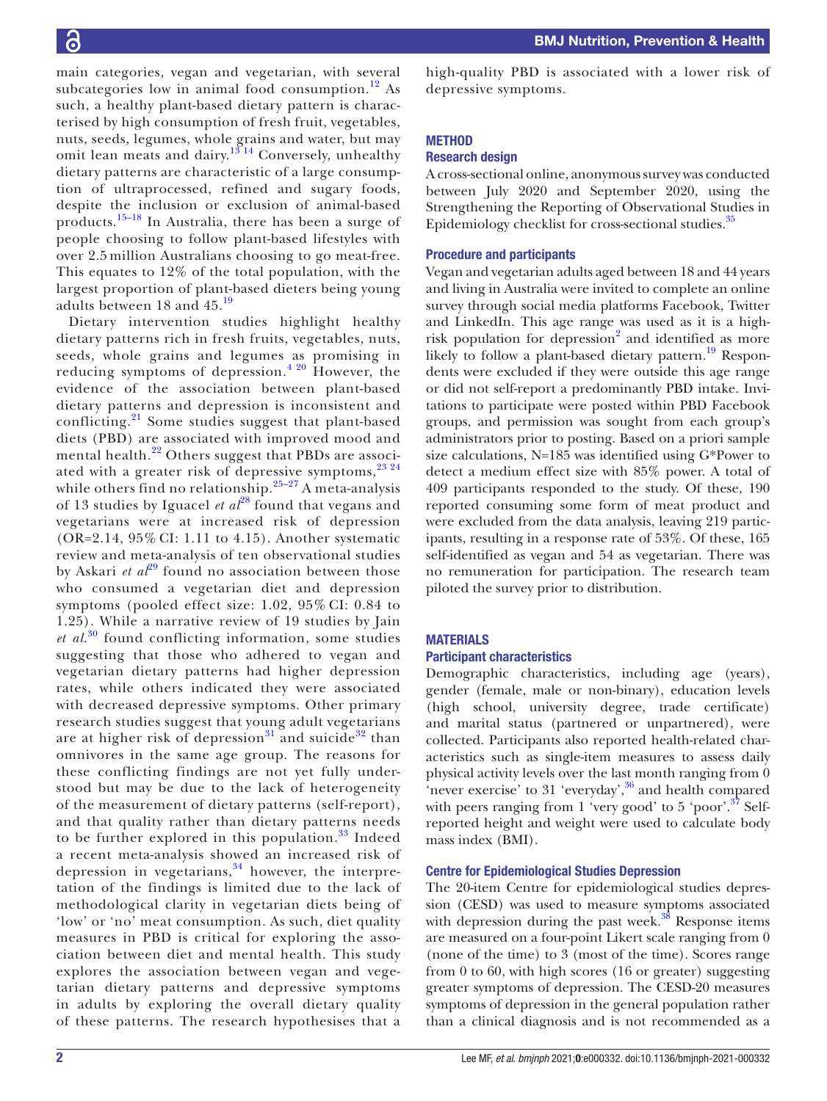main categories, vegan and vegetarian, with several subcategories low in animal food consumption.<sup>12</sup> As such, a healthy plant-based dietary pattern is characterised by high consumption of fresh fruit, vegetables, nuts, seeds, legumes, whole grains and water, but may omit lean meats and dairy.<sup>13 14</sup> Conversely, unhealthy dietary patterns are characteristic of a large consumption of ultraprocessed, refined and sugary foods, despite the inclusion or exclusion of animal-based products.[15–18](#page-6-11) In Australia, there has been a surge of people choosing to follow plant-based lifestyles with over 2.5 million Australians choosing to go meat-free. This equates to 12% of the total population, with the largest proportion of plant-based dieters being young adults between 18 and 45.[19](#page-6-12)

Dietary intervention studies highlight healthy dietary patterns rich in fresh fruits, vegetables, nuts, seeds, whole grains and legumes as promising in reducing symptoms of depression.<sup>4 20</sup> However, the evidence of the association between plant-based dietary patterns and depression is inconsistent and conflicting.<sup>[21](#page-6-13)</sup> Some studies suggest that plant-based diets (PBD) are associated with improved mood and mental health.<sup>22</sup> Others suggest that PBDs are associated with a greater risk of depressive symptoms,  $23^{24}$ while others find no relationship. $25-27$  A meta-analysis of 13 studies by Iguacel *et al*[28](#page-6-17) found that vegans and vegetarians were at increased risk of depression (OR=2.14, 95% CI: 1.11 to 4.15). Another systematic review and meta-analysis of ten observational studies by Askari *et al*<sup>29</sup> found no association between those who consumed a vegetarian diet and depression symptoms (pooled effect size: 1.02, 95% CI: 0.84 to 1.25). While a narrative review of 19 studies by Jain *et al*. [30](#page-6-19) found conflicting information, some studies suggesting that those who adhered to vegan and vegetarian dietary patterns had higher depression rates, while others indicated they were associated with decreased depressive symptoms. Other primary research studies suggest that young adult vegetarians are at higher risk of depression<sup>[31](#page-6-20)</sup> and suicide<sup>32</sup> than omnivores in the same age group. The reasons for these conflicting findings are not yet fully understood but may be due to the lack of heterogeneity of the measurement of dietary patterns (self-report), and that quality rather than dietary patterns needs to be further explored in this population. $33$  Indeed a recent meta-analysis showed an increased risk of depression in vegetarians, $34$  however, the interpretation of the findings is limited due to the lack of methodological clarity in vegetarian diets being of 'low' or 'no' meat consumption. As such, diet quality measures in PBD is critical for exploring the association between diet and mental health. This study explores the association between vegan and vegetarian dietary patterns and depressive symptoms in adults by exploring the overall dietary quality of these patterns. The research hypothesises that a

high-quality PBD is associated with a lower risk of depressive symptoms.

# **METHOD**

## Research design

A cross-sectional online, anonymous survey was conducted between July 2020 and September 2020, using the Strengthening the Reporting of Observational Studies in Epidemiology checklist for cross-sectional studies.<sup>[35](#page-6-24)</sup>

#### Procedure and participants

Vegan and vegetarian adults aged between 18 and 44 years and living in Australia were invited to complete an online survey through social media platforms Facebook, Twitter and LinkedIn. This age range was used as it is a high-risk population for depression<sup>[2](#page-6-1)</sup> and identified as more likely to follow a plant-based dietary pattern.<sup>19</sup> Respondents were excluded if they were outside this age range or did not self-report a predominantly PBD intake. Invitations to participate were posted within PBD Facebook groups, and permission was sought from each group's administrators prior to posting. Based on a priori sample size calculations, N=185 was identified using G\*Power to detect a medium effect size with 85% power. A total of 409 participants responded to the study. Of these, 190 reported consuming some form of meat product and were excluded from the data analysis, leaving 219 participants, resulting in a response rate of 53%. Of these, 165 self-identified as vegan and 54 as vegetarian. There was no remuneration for participation. The research team piloted the survey prior to distribution.

#### MATERIALS

#### Participant characteristics

Demographic characteristics, including age (years), gender (female, male or non-binary), education levels (high school, university degree, trade certificate) and marital status (partnered or unpartnered), were collected. Participants also reported health-related characteristics such as single-item measures to assess daily physical activity levels over the last month ranging from 0 'never exercise' to 31 'everyday',  $36$  and health compared with peers ranging from 1 'very good' to 5 'poor'.<sup>37</sup> Selfreported height and weight were used to calculate body mass index (BMI).

#### Centre for Epidemiological Studies Depression

The 20-item Centre for epidemiological studies depression (CESD) was used to measure symptoms associated with depression during the past week. $38$  Response items are measured on a four-point Likert scale ranging from 0 (none of the time) to 3 (most of the time). Scores range from 0 to 60, with high scores (16 or greater) suggesting greater symptoms of depression. The CESD-20 measures symptoms of depression in the general population rather than a clinical diagnosis and is not recommended as a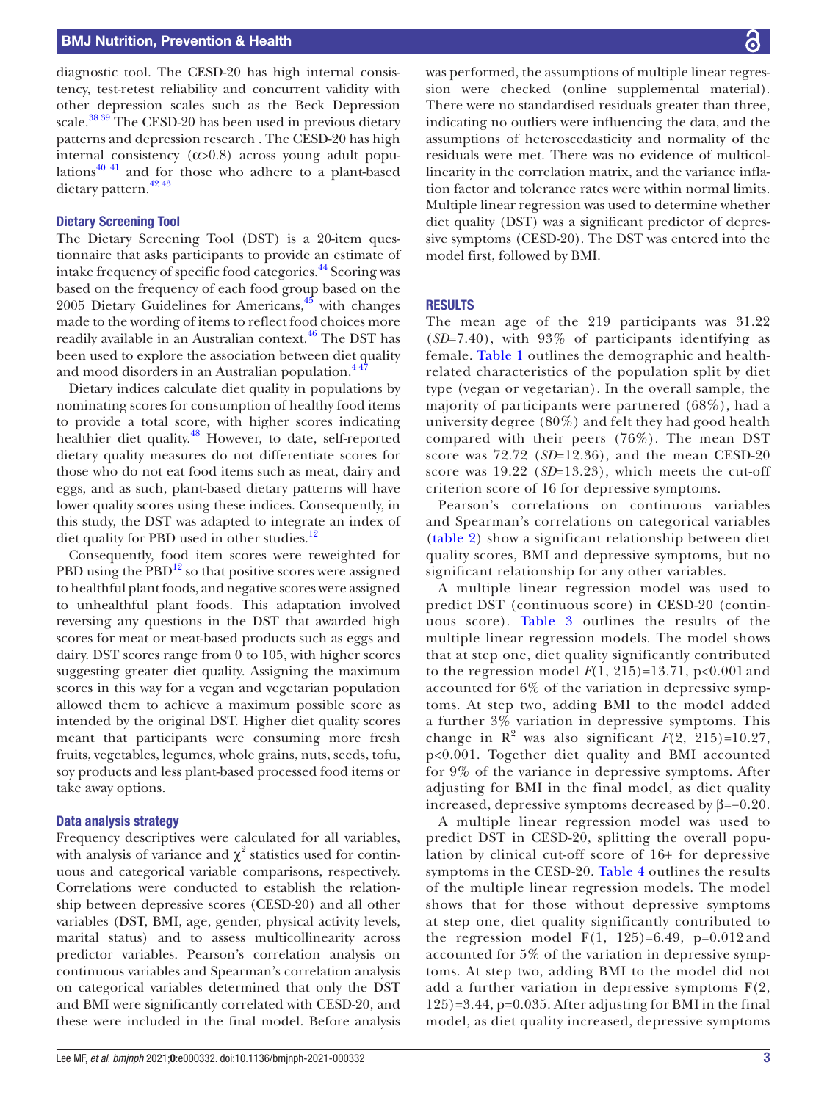diagnostic tool. The CESD-20 has high internal consistency, test-retest reliability and concurrent validity with other depression scales such as the Beck Depression scale.<sup>[38 39](#page-6-27)</sup> The CESD-20 has been used in previous dietary patterns and depression research . The CESD-20 has high internal consistency  $(\alpha > 0.8)$  across young adult population[s40 41](#page-6-28) and for those who adhere to a plant-based dietary pattern.<sup>42</sup><sup>43</sup>

#### Dietary Screening Tool

The Dietary Screening Tool (DST) is a 20-item questionnaire that asks participants to provide an estimate of intake frequency of specific food categories.<sup>[44](#page-6-30)</sup> Scoring was based on the frequency of each food group based on the 2005 Dietary Guidelines for Americans, $45$  with changes made to the wording of items to reflect food choices more readily available in an Australian context.<sup>[46](#page-6-32)</sup> The DST has been used to explore the association between diet quality and mood disorders in an Australian population.<sup>447</sup>

Dietary indices calculate diet quality in populations by nominating scores for consumption of healthy food items to provide a total score, with higher scores indicating healthier diet quality.<sup>[48](#page-6-33)</sup> However, to date, self-reported dietary quality measures do not differentiate scores for those who do not eat food items such as meat, dairy and eggs, and as such, plant-based dietary patterns will have lower quality scores using these indices. Consequently, in this study, the DST was adapted to integrate an index of diet quality for PBD used in other studies.<sup>[12](#page-6-9)</sup>

Consequently, food item scores were reweighted for PBD using the  $PBD<sup>12</sup>$  so that positive scores were assigned to healthful plant foods, and negative scores were assigned to unhealthful plant foods. This adaptation involved reversing any questions in the DST that awarded high scores for meat or meat-based products such as eggs and dairy. DST scores range from 0 to 105, with higher scores suggesting greater diet quality. Assigning the maximum scores in this way for a vegan and vegetarian population allowed them to achieve a maximum possible score as intended by the original DST. Higher diet quality scores meant that participants were consuming more fresh fruits, vegetables, legumes, whole grains, nuts, seeds, tofu, soy products and less plant-based processed food items or take away options.

#### Data analysis strategy

Frequency descriptives were calculated for all variables, with analysis of variance and  $\chi^2$  statistics used for continuous and categorical variable comparisons, respectively. Correlations were conducted to establish the relationship between depressive scores (CESD-20) and all other variables (DST, BMI, age, gender, physical activity levels, marital status) and to assess multicollinearity across predictor variables. Pearson's correlation analysis on continuous variables and Spearman's correlation analysis on categorical variables determined that only the DST and BMI were significantly correlated with CESD-20, and these were included in the final model. Before analysis was performed, the assumptions of multiple linear regression were checked ([online supplemental material\)](https://dx.doi.org/10.1136/bmjnph-2021-000332). There were no standardised residuals greater than three, indicating no outliers were influencing the data, and the assumptions of heteroscedasticity and normality of the residuals were met. There was no evidence of multicollinearity in the correlation matrix, and the variance inflation factor and tolerance rates were within normal limits. Multiple linear regression was used to determine whether diet quality (DST) was a significant predictor of depressive symptoms (CESD-20). The DST was entered into the model first, followed by BMI.

#### **RESULTS**

The mean age of the 219 participants was 31.22 (*SD*=7.40), with 93% of participants identifying as female. [Table](#page-3-0) 1 outlines the demographic and healthrelated characteristics of the population split by diet type (vegan or vegetarian). In the overall sample, the majority of participants were partnered (68%), had a university degree (80%) and felt they had good health compared with their peers (76%). The mean DST score was 72.72 (*SD*=12.36), and the mean CESD-20 score was 19.22 (*SD*=13.23), which meets the cut-off criterion score of 16 for depressive symptoms.

Pearson's correlations on continuous variables and Spearman's correlations on categorical variables ([table](#page-3-1) 2) show a significant relationship between diet quality scores, BMI and depressive symptoms, but no significant relationship for any other variables.

A multiple linear regression model was used to predict DST (continuous score) in CESD-20 (continuous score). [Table](#page-4-0) 3 outlines the results of the multiple linear regression models. The model shows that at step one, diet quality significantly contributed to the regression model  $F(1, 215) = 13.71$ ,  $p < 0.001$  and accounted for 6% of the variation in depressive symptoms. At step two, adding BMI to the model added a further 3% variation in depressive symptoms. This change in  $\mathbb{R}^2$  was also significant  $F(2, 215)=10.27$ , p<0.001. Together diet quality and BMI accounted for 9% of the variance in depressive symptoms. After adjusting for BMI in the final model, as diet quality increased, depressive symptoms decreased by β=−0.20.

A multiple linear regression model was used to predict DST in CESD-20, splitting the overall population by clinical cut-off score of 16+ for depressive symptoms in the CESD-20. [Table](#page-4-1) 4 outlines the results of the multiple linear regression models. The model shows that for those without depressive symptoms at step one, diet quality significantly contributed to the regression model  $F(1, 125)=6.49$ ,  $p=0.012$  and accounted for 5% of the variation in depressive symptoms. At step two, adding BMI to the model did not add a further variation in depressive symptoms F(2, 125)=3.44, p=0.035. After adjusting for BMI in the final model, as diet quality increased, depressive symptoms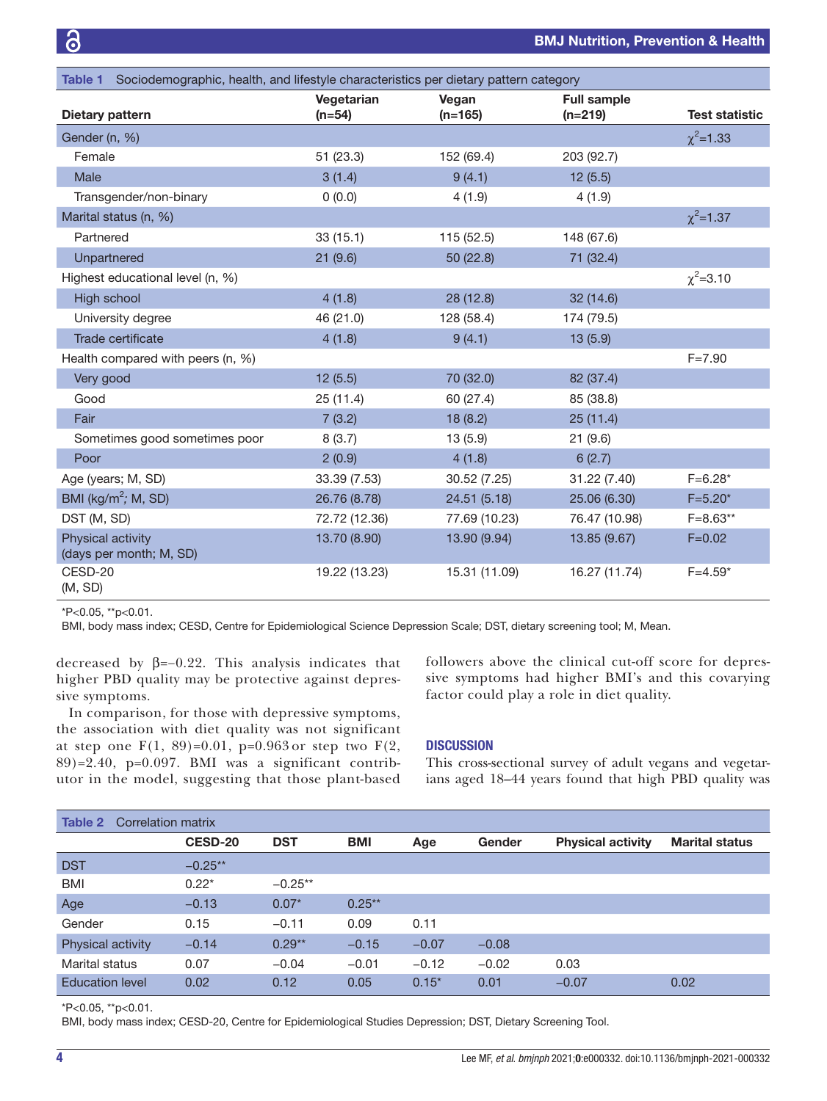<span id="page-3-0"></span>

| Table 1 Sociodemographic, health, and lifestyle characteristics per dietary pattern category |                        |                    |                                 |                       |  |  |  |
|----------------------------------------------------------------------------------------------|------------------------|--------------------|---------------------------------|-----------------------|--|--|--|
| Dietary pattern                                                                              | Vegetarian<br>$(n=54)$ | Vegan<br>$(n=165)$ | <b>Full sample</b><br>$(n=219)$ | <b>Test statistic</b> |  |  |  |
| Gender (n, %)                                                                                |                        |                    |                                 | $\chi^2$ =1.33        |  |  |  |
| Female                                                                                       | 51(23.3)               | 152 (69.4)         | 203 (92.7)                      |                       |  |  |  |
| Male                                                                                         | 3(1.4)                 | 9(4.1)             | 12(5.5)                         |                       |  |  |  |
| Transgender/non-binary                                                                       | 0(0.0)                 | 4(1.9)             | 4(1.9)                          |                       |  |  |  |
| Marital status (n, %)                                                                        |                        |                    |                                 | $\chi^2$ =1.37        |  |  |  |
| Partnered                                                                                    | 33(15.1)               | 115 (52.5)         | 148 (67.6)                      |                       |  |  |  |
| Unpartnered                                                                                  | 21(9.6)                | 50 (22.8)          | 71 (32.4)                       |                       |  |  |  |
| Highest educational level (n, %)                                                             |                        |                    |                                 | $\chi^2$ =3.10        |  |  |  |
| High school                                                                                  | 4(1.8)                 | 28 (12.8)          | 32 (14.6)                       |                       |  |  |  |
| University degree                                                                            | 46 (21.0)              | 128 (58.4)         | 174 (79.5)                      |                       |  |  |  |
| Trade certificate                                                                            | 4(1.8)                 | 9(4.1)             | 13(5.9)                         |                       |  |  |  |
| Health compared with peers (n, %)                                                            |                        |                    |                                 | $F = 7.90$            |  |  |  |
| Very good                                                                                    | 12(5.5)                | 70 (32.0)          | 82 (37.4)                       |                       |  |  |  |
| Good                                                                                         | 25(11.4)               | 60 (27.4)          | 85 (38.8)                       |                       |  |  |  |
| Fair                                                                                         | 7(3.2)                 | 18(8.2)            | 25(11.4)                        |                       |  |  |  |
| Sometimes good sometimes poor                                                                | 8(3.7)                 | 13(5.9)            | 21(9.6)                         |                       |  |  |  |
| Poor                                                                                         | 2(0.9)                 | 4(1.8)             | 6(2.7)                          |                       |  |  |  |
| Age (years; M, SD)                                                                           | 33.39 (7.53)           | 30.52 (7.25)       | 31.22 (7.40)                    | $F=6.28*$             |  |  |  |
| BMI ( $kg/m^2$ ; M, SD)                                                                      | 26.76 (8.78)           | 24.51 (5.18)       | 25.06 (6.30)                    | $F = 5.20*$           |  |  |  |
| DST (M, SD)                                                                                  | 72.72 (12.36)          | 77.69 (10.23)      | 76.47 (10.98)                   | $F = 8.63**$          |  |  |  |
| Physical activity<br>(days per month; M, SD)                                                 | 13.70 (8.90)           | 13.90 (9.94)       | 13.85 (9.67)                    | $F = 0.02$            |  |  |  |
| CESD-20<br>(M, SD)                                                                           | 19.22 (13.23)          | 15.31 (11.09)      | 16.27 (11.74)                   | $F = 4.59*$           |  |  |  |

\*P<0.05, \*\*p<0.01.

BMI, body mass index; CESD, Centre for Epidemiological Science Depression Scale; DST, dietary screening tool; M, Mean.

decreased by  $\beta = -0.22$ . This analysis indicates that higher PBD quality may be protective against depressive symptoms.

In comparison, for those with depressive symptoms, the association with diet quality was not significant at step one F(1, 89)=0.01, p=0.963 or step two F(2, 89)=2.40, p=0.097. BMI was a significant contributor in the model, suggesting that those plant-based followers above the clinical cut-off score for depressive symptoms had higher BMI's and this covarying factor could play a role in diet quality.

#### **DISCUSSION**

This cross-sectional survey of adult vegans and vegetarians aged 18–44 years found that high PBD quality was

<span id="page-3-1"></span>

| Correlation matrix<br>Table 2 |           |            |            |         |         |                          |                       |
|-------------------------------|-----------|------------|------------|---------|---------|--------------------------|-----------------------|
|                               | CESD-20   | <b>DST</b> | <b>BMI</b> | Age     | Gender  | <b>Physical activity</b> | <b>Marital status</b> |
| <b>DST</b>                    | $-0.25**$ |            |            |         |         |                          |                       |
| <b>BMI</b>                    | $0.22*$   | $-0.25**$  |            |         |         |                          |                       |
| Age                           | $-0.13$   | $0.07*$    | $0.25**$   |         |         |                          |                       |
| Gender                        | 0.15      | $-0.11$    | 0.09       | 0.11    |         |                          |                       |
| Physical activity             | $-0.14$   | $0.29**$   | $-0.15$    | $-0.07$ | $-0.08$ |                          |                       |
| Marital status                | 0.07      | $-0.04$    | $-0.01$    | $-0.12$ | $-0.02$ | 0.03                     |                       |
| <b>Education level</b>        | 0.02      | 0.12       | 0.05       | $0.15*$ | 0.01    | $-0.07$                  | 0.02                  |

\*P<0.05, \*\*p<0.01.

BMI, body mass index; CESD-20, Centre for Epidemiological Studies Depression; DST, Dietary Screening Tool.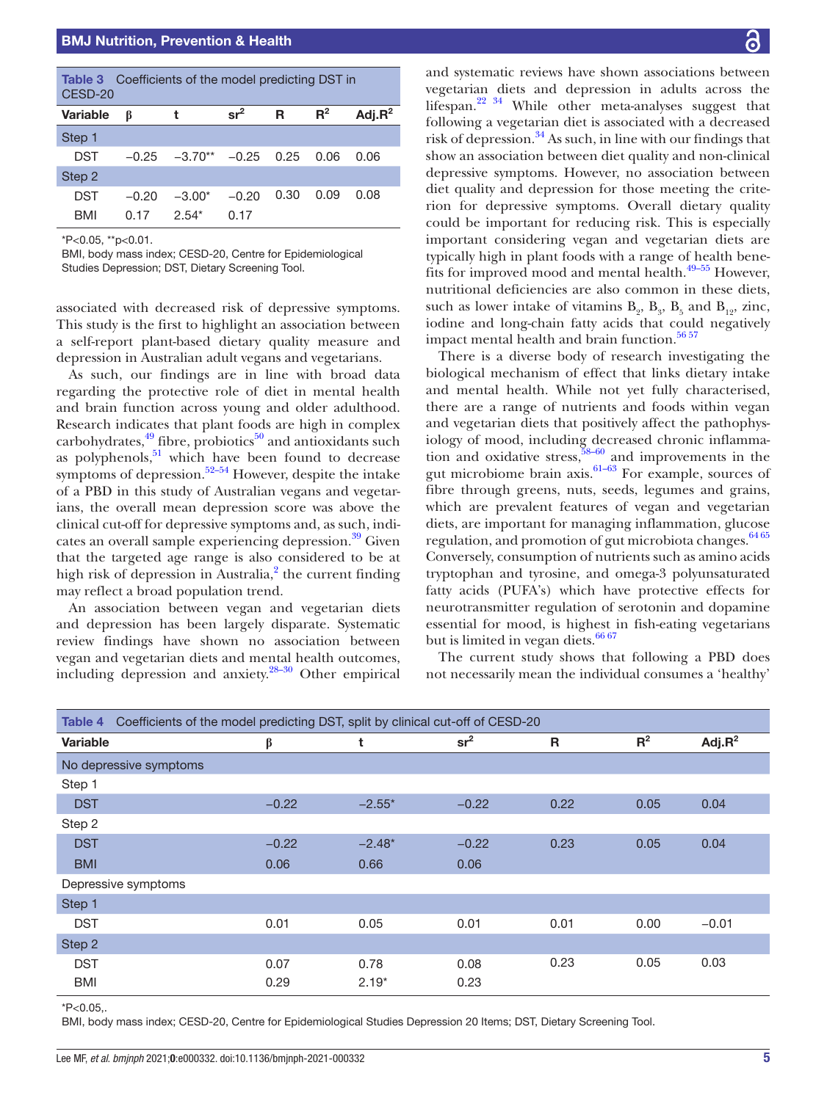<span id="page-4-0"></span>

| <b>Table 3</b> Coefficients of the model predicting DST in<br>CESD-20 |         |           |         |      |       |            |  |
|-----------------------------------------------------------------------|---------|-----------|---------|------|-------|------------|--|
| <b>Variable</b>                                                       | ß       | t         | $sr^2$  | R    | $R^2$ | Adj. $R^2$ |  |
| Step 1                                                                |         |           |         |      |       |            |  |
| <b>DST</b>                                                            | $-0.25$ | $-3.70**$ | $-0.25$ | 0.25 | 0.06  | 0.06       |  |
| Step 2                                                                |         |           |         |      |       |            |  |
| DST                                                                   | $-0.20$ | $-3.00*$  | $-0.20$ | 0.30 | 0.09  | 0.08       |  |
| <b>BMI</b>                                                            | በ 17    | $2.54*$   | 0.17    |      |       |            |  |

\*P<0.05, \*\*p<0.01.

BMI, body mass index; CESD-20, Centre for Epidemiological Studies Depression; DST, Dietary Screening Tool.

associated with decreased risk of depressive symptoms. This study is the first to highlight an association between a self-report plant-based dietary quality measure and depression in Australian adult vegans and vegetarians.

As such, our findings are in line with broad data regarding the protective role of diet in mental health and brain function across young and older adulthood. Research indicates that plant foods are high in complex carbohydrates, $49$  fibre, probiotics $50$  and antioxidants such as polyphenols, $51$  which have been found to decrease symptoms of depression. $52-54$  However, despite the intake of a PBD in this study of Australian vegans and vegetarians, the overall mean depression score was above the clinical cut-off for depressive symptoms and, as such, indicates an overall sample experiencing depression.<sup>39</sup> Given that the targeted age range is also considered to be at high risk of depression in Australia,<sup>2</sup> the current finding may reflect a broad population trend.

An association between vegan and vegetarian diets and depression has been largely disparate. Systematic review findings have shown no association between vegan and vegetarian diets and mental health outcomes, including depression and anxiety. $28-30$  Other empirical

and systematic reviews have shown associations between vegetarian diets and depression in adults across the lifespan[.22 34](#page-6-14) While other meta-analyses suggest that following a vegetarian diet is associated with a decreased risk of depression.<sup>[34](#page-6-23)</sup> As such, in line with our findings that show an association between diet quality and non-clinical depressive symptoms. However, no association between diet quality and depression for those meeting the criterion for depressive symptoms. Overall dietary quality could be important for reducing risk. This is especially important considering vegan and vegetarian diets are typically high in plant foods with a range of health benefits for improved mood and mental health.[49–55](#page-6-34) However, nutritional deficiencies are also common in these diets, such as lower intake of vitamins  $B_2$ ,  $B_3$ ,  $B_5$  and  $B_{12}$ , zinc, iodine and long-chain fatty acids that could negatively impact mental health and brain function.<sup>[56 57](#page-7-2)</sup>

There is a diverse body of research investigating the biological mechanism of effect that links dietary intake and mental health. While not yet fully characterised, there are a range of nutrients and foods within vegan and vegetarian diets that positively affect the pathophysiology of mood, including decreased chronic inflammation and oxidative stress,  $\frac{58-60}{2}$  and improvements in the gut microbiome brain  $axis$ .<sup>61–63</sup> For example, sources of fibre through greens, nuts, seeds, legumes and grains, which are prevalent features of vegan and vegetarian diets, are important for managing inflammation, glucose regulation, and promotion of gut microbiota changes.<sup>[64 65](#page-7-5)</sup> Conversely, consumption of nutrients such as amino acids tryptophan and tyrosine, and omega-3 polyunsaturated fatty acids (PUFA's) which have protective effects for neurotransmitter regulation of serotonin and dopamine essential for mood, is highest in fish-eating vegetarians but is limited in vegan diets.  $66\,67$ 

The current study shows that following a PBD does not necessarily mean the individual consumes a 'healthy'

<span id="page-4-1"></span>

| Table 4         | Coefficients of the model predicting DST, split by clinical cut-off of CESD-20 |         |          |                 |              |       |            |
|-----------------|--------------------------------------------------------------------------------|---------|----------|-----------------|--------------|-------|------------|
| <b>Variable</b> |                                                                                | β       | t        | sr <sup>2</sup> | $\mathsf{R}$ | $R^2$ | Adj. $R^2$ |
|                 | No depressive symptoms                                                         |         |          |                 |              |       |            |
| Step 1          |                                                                                |         |          |                 |              |       |            |
| <b>DST</b>      |                                                                                | $-0.22$ | $-2.55*$ | $-0.22$         | 0.22         | 0.05  | 0.04       |
| Step 2          |                                                                                |         |          |                 |              |       |            |
| <b>DST</b>      |                                                                                | $-0.22$ | $-2.48*$ | $-0.22$         | 0.23         | 0.05  | 0.04       |
| <b>BMI</b>      |                                                                                | 0.06    | 0.66     | 0.06            |              |       |            |
|                 | Depressive symptoms                                                            |         |          |                 |              |       |            |
| Step 1          |                                                                                |         |          |                 |              |       |            |
| <b>DST</b>      |                                                                                | 0.01    | 0.05     | 0.01            | 0.01         | 0.00  | $-0.01$    |
| Step 2          |                                                                                |         |          |                 |              |       |            |
| <b>DST</b>      |                                                                                | 0.07    | 0.78     | 0.08            | 0.23         | 0.05  | 0.03       |
| <b>BMI</b>      |                                                                                | 0.29    | $2.19*$  | 0.23            |              |       |            |

 $*P<0.05$ .

BMI, body mass index; CESD-20, Centre for Epidemiological Studies Depression 20 Items; DST, Dietary Screening Tool.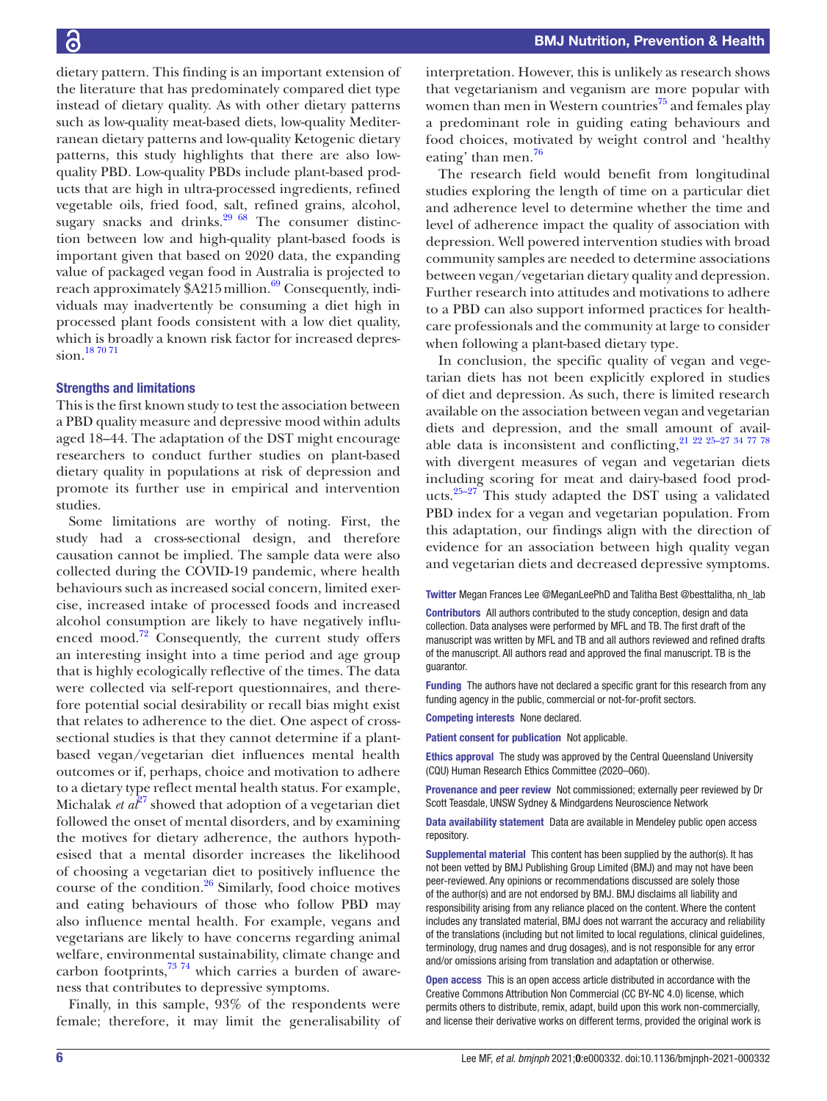dietary pattern. This finding is an important extension of the literature that has predominately compared diet type instead of dietary quality. As with other dietary patterns such as low-quality meat-based diets, low-quality Mediterranean dietary patterns and low-quality Ketogenic dietary patterns, this study highlights that there are also lowquality PBD. Low-quality PBDs include plant-based products that are high in ultra-processed ingredients, refined vegetable oils, fried food, salt, refined grains, alcohol, sugary snacks and drinks. $29\,68$  The consumer distinction between low and high-quality plant-based foods is important given that based on 2020 data, the expanding value of packaged vegan food in Australia is projected to reach approximately \$A215 million.<sup>69</sup> Consequently, individuals may inadvertently be consuming a diet high in processed plant foods consistent with a low diet quality, which is broadly a known risk factor for increased depression.[18 70 71](#page-6-37)

#### Strengths and limitations

This is the first known study to test the association between a PBD quality measure and depressive mood within adults aged 18–44. The adaptation of the DST might encourage researchers to conduct further studies on plant-based dietary quality in populations at risk of depression and promote its further use in empirical and intervention studies.

Some limitations are worthy of noting. First, the study had a cross-sectional design, and therefore causation cannot be implied. The sample data were also collected during the COVID-19 pandemic, where health behaviours such as increased social concern, limited exercise, increased intake of processed foods and increased alcohol consumption are likely to have negatively influenced mood.<sup>72</sup> Consequently, the current study offers an interesting insight into a time period and age group that is highly ecologically reflective of the times. The data were collected via self-report questionnaires, and therefore potential social desirability or recall bias might exist that relates to adherence to the diet. One aspect of crosssectional studies is that they cannot determine if a plantbased vegan/vegetarian diet influences mental health outcomes or if, perhaps, choice and motivation to adhere to a dietary type reflect mental health status. For example, Michalak *et*  $a^{\beta}$  showed that adoption of a vegetarian diet followed the onset of mental disorders, and by examining the motives for dietary adherence, the authors hypothesised that a mental disorder increases the likelihood of choosing a vegetarian diet to positively influence the course of the condition.[26](#page-6-39) Similarly, food choice motives and eating behaviours of those who follow PBD may also influence mental health. For example, vegans and vegetarians are likely to have concerns regarding animal welfare, environmental sustainability, climate change and carbon footprints, $7374$  which carries a burden of awareness that contributes to depressive symptoms.

Finally, in this sample, 93% of the respondents were female; therefore, it may limit the generalisability of

interpretation. However, this is unlikely as research shows that vegetarianism and veganism are more popular with women than men in Western countries<sup> $75$ </sup> and females play a predominant role in guiding eating behaviours and food choices, motivated by weight control and 'healthy eating' than men.<sup>76</sup>

The research field would benefit from longitudinal studies exploring the length of time on a particular diet and adherence level to determine whether the time and level of adherence impact the quality of association with depression. Well powered intervention studies with broad community samples are needed to determine associations between vegan/vegetarian dietary quality and depression. Further research into attitudes and motivations to adhere to a PBD can also support informed practices for healthcare professionals and the community at large to consider when following a plant-based dietary type.

In conclusion, the specific quality of vegan and vegetarian diets has not been explicitly explored in studies of diet and depression. As such, there is limited research available on the association between vegan and vegetarian diets and depression, and the small amount of available data is inconsistent and conflicting,  $21$   $22$   $25-27$   $34$   $77$   $78$ with divergent measures of vegan and vegetarian diets including scoring for meat and dairy-based food products. $25-27$  This study adapted the DST using a validated PBD index for a vegan and vegetarian population. From this adaptation, our findings align with the direction of evidence for an association between high quality vegan and vegetarian diets and decreased depressive symptoms.

Twitter Megan Frances Lee [@MeganLeePhD](https://twitter.com/MeganLeePhD) and Talitha Best [@besttalitha, nh\\_lab](https://twitter.com/besttalitha, nh_lab)

Contributors All authors contributed to the study conception, design and data collection. Data analyses were performed by MFL and TB. The first draft of the manuscript was written by MFL and TB and all authors reviewed and refined drafts of the manuscript. All authors read and approved the final manuscript. TB is the guarantor.

Funding The authors have not declared a specific grant for this research from any funding agency in the public, commercial or not-for-profit sectors.

Competing interests None declared.

Patient consent for publication Not applicable.

Ethics approval The study was approved by the Central Queensland University (CQU) Human Research Ethics Committee (2020–060).

Provenance and peer review Not commissioned; externally peer reviewed by Dr Scott Teasdale, UNSW Sydney & Mindgardens Neuroscience Network

Data availability statement Data are available in Mendeley public open access repository.

Supplemental material This content has been supplied by the author(s). It has not been vetted by BMJ Publishing Group Limited (BMJ) and may not have been peer-reviewed. Any opinions or recommendations discussed are solely those of the author(s) and are not endorsed by BMJ. BMJ disclaims all liability and responsibility arising from any reliance placed on the content. Where the content includes any translated material, BMJ does not warrant the accuracy and reliability of the translations (including but not limited to local regulations, clinical guidelines, terminology, drug names and drug dosages), and is not responsible for any error and/or omissions arising from translation and adaptation or otherwise.

Open access This is an open access article distributed in accordance with the Creative Commons Attribution Non Commercial (CC BY-NC 4.0) license, which permits others to distribute, remix, adapt, build upon this work non-commercially, and license their derivative works on different terms, provided the original work is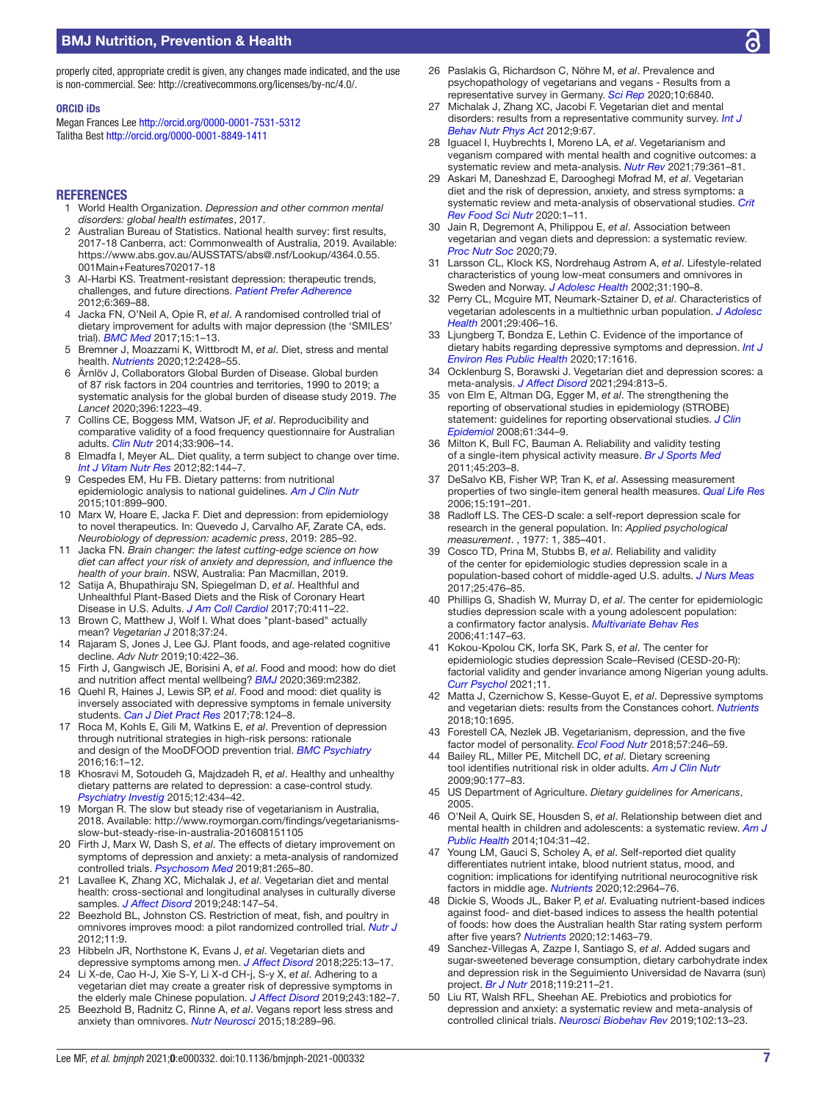## BMJ Nutrition, Prevention & Health

properly cited, appropriate credit is given, any changes made indicated, and the use is non-commercial. See: [http://creativecommons.org/licenses/by-nc/4.0/.](http://creativecommons.org/licenses/by-nc/4.0/)

#### ORCID iDs

Megan Frances Lee<http://orcid.org/0000-0001-7531-5312> Talitha Best <http://orcid.org/0000-0001-8849-1411>

#### **REFERENCES**

- <span id="page-6-0"></span>1 World Health Organization. *Depression and other common mental disorders: global health estimates*, 2017.
- <span id="page-6-1"></span>2 Australian Bureau of Statistics. National health survey: first results, 2017-18 Canberra, act: Commonwealth of Australia, 2019. Available: [https://www.abs.gov.au/AUSSTATS/abs@.nsf/Lookup/4364.0.55.](https://www.abs.gov.au/AUSSTATS/abs@.nsf/Lookup/4364.0.55.001Main+Features702017-18) [001Main+Features702017-18](https://www.abs.gov.au/AUSSTATS/abs@.nsf/Lookup/4364.0.55.001Main+Features702017-18)
- <span id="page-6-2"></span>3 Al-Harbi KS. Treatment-resistant depression: therapeutic trends, challenges, and future directions. *[Patient Prefer Adherence](http://dx.doi.org/10.2147/PPA.S29716)* 2012;6:369–88.
- <span id="page-6-3"></span>4 Jacka FN, O'Neil A, Opie R, *et al*. A randomised controlled trial of dietary improvement for adults with major depression (the 'SMILES' trial). *[BMC Med](http://dx.doi.org/10.1186/s12916-017-0791-y)* 2017;15:1–13.
- <span id="page-6-4"></span>5 Bremner J, Moazzami K, Wittbrodt M, *et al*. Diet, stress and mental health. *[Nutrients](http://dx.doi.org/10.3390/nu12082428)* 2020;12:2428–55.
- Ärnlöv J, Collaborators Global Burden of Disease. Global burden of 87 risk factors in 204 countries and territories, 1990 to 2019; a systematic analysis for the global burden of disease study 2019. *The Lancet* 2020;396:1223–49.
- <span id="page-6-5"></span>7 Collins CE, Boggess MM, Watson JF, *et al*. Reproducibility and comparative validity of a food frequency questionnaire for Australian adults. *[Clin Nutr](http://dx.doi.org/10.1016/j.clnu.2013.09.015)* 2014;33:906–14.
- <span id="page-6-6"></span>8 Elmadfa I, Meyer AL. Diet quality, a term subject to change over time. *[Int J Vitam Nutr Res](http://dx.doi.org/10.1024/0300-9831/a000104)* 2012;82:144–7.
- <span id="page-6-7"></span>9 Cespedes EM, Hu FB. Dietary patterns: from nutritional epidemiologic analysis to national guidelines. *[Am J Clin Nutr](http://dx.doi.org/10.3945/ajcn.115.110213)* 2015;101:899–900.
- <span id="page-6-8"></span>10 Marx W, Hoare E, Jacka F. Diet and depression: from epidemiology to novel therapeutics. In: Quevedo J, Carvalho AF, Zarate CA, eds. *Neurobiology of depression: academic press*, 2019: 285–92.
- 11 Jacka FN. *Brain changer: the latest cutting-edge science on how diet can affect your risk of anxiety and depression, and influence the health of your brain*. NSW, Australia: Pan Macmillan, 2019.
- <span id="page-6-9"></span>12 Satija A, Bhupathiraju SN, Spiegelman D, *et al*. Healthful and Unhealthful Plant-Based Diets and the Risk of Coronary Heart Disease in U.S. Adults. *[J Am Coll Cardiol](http://dx.doi.org/10.1016/j.jacc.2017.05.047)* 2017;70:411–22.
- <span id="page-6-10"></span>13 Brown C, Matthew J, Wolf I. What does "plant-based" actually mean? *Vegetarian J* 2018;37:24.
- 14 Rajaram S, Jones J, Lee GJ. Plant foods, and age-related cognitive decline. *Adv Nutr* 2019;10:422–36.
- <span id="page-6-11"></span>15 Firth J, Gangwisch JE, Borisini A, *et al*. Food and mood: how do diet and nutrition affect mental wellbeing? *[BMJ](http://dx.doi.org/10.1136/bmj.m2382)* 2020;369:m2382.
- 16 Quehl R, Haines J, Lewis SP, *et al*. Food and mood: diet quality is inversely associated with depressive symptoms in female university students. *[Can J Diet Pract Res](http://dx.doi.org/10.3148/cjdpr-2017-007)* 2017;78:124–8.
- 17 Roca M, Kohls E, Gili M, Watkins E, *et al*. Prevention of depression through nutritional strategies in high-risk persons: rationale and design of the MooDFOOD prevention trial. *[BMC Psychiatry](http://dx.doi.org/10.1186/s12888-016-0900-z)* 2016;16:1–12.
- <span id="page-6-37"></span>18 Khosravi M, Sotoudeh G, Majdzadeh R, *et al*. Healthy and unhealthy dietary patterns are related to depression: a case-control study. *[Psychiatry Investig](http://dx.doi.org/10.4306/pi.2015.12.4.434)* 2015;12:434–42.
- <span id="page-6-12"></span>19 Morgan R. The slow but steady rise of vegetarianism in Australia, 2018. Available: [http://www.roymorgan.com/findings/vegetarianisms](http://www.roymorgan.com/findings/vegetarianisms-slow-but-steady-rise-in-australia-201608151105)[slow-but-steady-rise-in-australia-201608151105](http://www.roymorgan.com/findings/vegetarianisms-slow-but-steady-rise-in-australia-201608151105)
- 20 Firth J, Marx W, Dash S, *et al*. The effects of dietary improvement on symptoms of depression and anxiety: a meta-analysis of randomized controlled trials. *[Psychosom Med](http://dx.doi.org/10.1097/PSY.0000000000000673)* 2019;81:265–80.
- <span id="page-6-13"></span>21 Lavallee K, Zhang XC, Michalak J, *et al*. Vegetarian diet and mental health: cross-sectional and longitudinal analyses in culturally diverse samples. *[J Affect Disord](http://dx.doi.org/10.1016/j.jad.2019.01.035)* 2019;248:147–54.
- <span id="page-6-14"></span>22 Beezhold BL, Johnston CS. Restriction of meat, fish, and poultry in omnivores improves mood: a pilot randomized controlled trial. *[Nutr J](http://dx.doi.org/10.1186/1475-2891-11-9)* 2012;11:9.
- <span id="page-6-15"></span>23 Hibbeln JR, Northstone K, Evans J, *et al*. Vegetarian diets and depressive symptoms among men. *[J Affect Disord](http://dx.doi.org/10.1016/j.jad.2017.07.051)* 2018;225:13–17.
- 24 Li X-de, Cao H-J, Xie S-Y, Li X-d CH-j, S-y X, *et al*. Adhering to a vegetarian diet may create a greater risk of depressive symptoms in the elderly male Chinese population. *[J Affect Disord](http://dx.doi.org/10.1016/j.jad.2018.09.033)* 2019;243:182–7.
- <span id="page-6-16"></span>25 Beezhold B, Radnitz C, Rinne A, *et al*. Vegans report less stress and anxiety than omnivores. *[Nutr Neurosci](http://dx.doi.org/10.1179/1476830514Y.0000000164)* 2015;18:289–96.
- <span id="page-6-39"></span>26 Paslakis G, Richardson C, Nöhre M, *et al*. Prevalence and psychopathology of vegetarians and vegans - Results from a representative survey in Germany. *[Sci Rep](http://dx.doi.org/10.1038/s41598-020-63910-y)* 2020;10:6840.
- <span id="page-6-38"></span>27 Michalak J, Zhang XC, Jacobi F. Vegetarian diet and mental disorders: results from a representative community survey. *[Int J](http://dx.doi.org/10.1186/1479-5868-9-67)  [Behav Nutr Phys Act](http://dx.doi.org/10.1186/1479-5868-9-67)* 2012;9:67.
- <span id="page-6-17"></span>28 Iguacel I, Huybrechts I, Moreno LA, *et al*. Vegetarianism and veganism compared with mental health and cognitive outcomes: a systematic review and meta-analysis. *[Nutr Rev](http://dx.doi.org/10.1093/nutrit/nuaa030)* 2021;79:361–81.
- <span id="page-6-18"></span>29 Askari M, Daneshzad E, Darooghegi Mofrad M, *et al*. Vegetarian diet and the risk of depression, anxiety, and stress symptoms: a systematic review and meta-analysis of observational studies. *[Crit](http://dx.doi.org/10.1080/10408398.2020.1814991)  [Rev Food Sci Nutr](http://dx.doi.org/10.1080/10408398.2020.1814991)* 2020:1–11.
- <span id="page-6-19"></span>30 Jain R, Degremont A, Philippou E, *et al*. Association between vegetarian and vegan diets and depression: a systematic review. *[Proc Nutr Soc](http://dx.doi.org/10.1017/S0029665119001496)* 2020;79.
- <span id="page-6-20"></span>31 Larsson CL, Klock KS, Nordrehaug Astrøm A, *et al*. Lifestyle-related characteristics of young low-meat consumers and omnivores in Sweden and Norway. *[J Adolesc Health](http://dx.doi.org/10.1016/S1054-139X(02)00344-0)* 2002;31:190–8.
- <span id="page-6-21"></span>32 Perry CL, Mcguire MT, Neumark-Sztainer D, *et al*. Characteristics of vegetarian adolescents in a multiethnic urban population. *[J Adolesc](http://dx.doi.org/10.1016/s1054-139x(01)00258-0)  [Health](http://dx.doi.org/10.1016/s1054-139x(01)00258-0)* 2001;29:406–16.
- <span id="page-6-22"></span>33 Ljungberg T, Bondza E, Lethin C. Evidence of the importance of dietary habits regarding depressive symptoms and depression. *[Int J](http://dx.doi.org/10.3390/ijerph17051616)  [Environ Res Public Health](http://dx.doi.org/10.3390/ijerph17051616)* 2020;17:1616.
- <span id="page-6-23"></span>34 Ocklenburg S, Borawski J. Vegetarian diet and depression scores: a meta-analysis. *[J Affect Disord](http://dx.doi.org/10.1016/j.jad.2021.07.098)* 2021;294:813–5.
- <span id="page-6-24"></span>35 von Elm E, Altman DG, Egger M, *et al*. The strengthening the reporting of observational studies in epidemiology (STROBE) statement: guidelines for reporting observational studies. *[J Clin](http://dx.doi.org/10.1016/j.jclinepi.2007.11.008)  [Epidemiol](http://dx.doi.org/10.1016/j.jclinepi.2007.11.008)* 2008;61:344–9.
- <span id="page-6-25"></span>36 Milton K, Bull FC, Bauman A. Reliability and validity testing of a single-item physical activity measure. *[Br J Sports Med](http://dx.doi.org/10.1136/bjsm.2009.068395)* 2011;45:203–8.
- <span id="page-6-26"></span>37 DeSalvo KB, Fisher WP, Tran K, *et al*. Assessing measurement properties of two single-item general health measures. *[Qual Life Res](http://dx.doi.org/10.1007/s11136-005-0887-2)* 2006;15:191–201.
- <span id="page-6-27"></span>38 Radloff LS. The CES-D scale: a self-report depression scale for research in the general population. In: *[Applied psychological](http://dx.doi.org/10.1177/014662167700100306)  [measurement](http://dx.doi.org/10.1177/014662167700100306)*. , 1977: 1, 385–401.
- <span id="page-6-36"></span>39 Cosco TD, Prina M, Stubbs B, *et al*. Reliability and validity of the center for epidemiologic studies depression scale in a population-based cohort of middle-aged U.S. adults. *[J Nurs Meas](http://dx.doi.org/10.1891/1061-3749.25.3.476)* 2017;25:476–85.
- <span id="page-6-28"></span>40 Phillips G, Shadish W, Murray D, *et al*. The center for epidemiologic studies depression scale with a young adolescent population: a confirmatory factor analysis. *[Multivariate Behav Res](http://dx.doi.org/10.1207/s15327906mbr4102_3)* 2006;41:147–63.
- 41 Kokou-Kpolou CK, Iorfa SK, Park S, *et al*. The center for epidemiologic studies depression Scale–Revised (CESD-20-R): factorial validity and gender invariance among Nigerian young adults. *[Curr Psychol](http://dx.doi.org/10.1007/s12144-020-01231-z)* 2021;11.
- <span id="page-6-29"></span>42 Matta J, Czernichow S, Kesse-Guyot E, *et al*. Depressive symptoms and vegetarian diets: results from the Constances cohort. *[Nutrients](http://dx.doi.org/10.3390/nu10111695)* 2018;10:1695.
- 43 Forestell CA, Nezlek JB. Vegetarianism, depression, and the five factor model of personality. *[Ecol Food Nutr](http://dx.doi.org/10.1080/03670244.2018.1455675)* 2018;57:246–59.
- <span id="page-6-30"></span>44 Bailey RL, Miller PE, Mitchell DC, *et al*. Dietary screening tool identifies nutritional risk in older adults. *[Am J Clin Nutr](http://dx.doi.org/10.3945/ajcn.2008.27268)* 2009;90:177–83.
- <span id="page-6-31"></span>45 US Department of Agriculture. *Dietary guidelines for Americans*, 2005.
- <span id="page-6-32"></span>46 O'Neil A, Quirk SE, Housden S, *et al*. Relationship between diet and mental health in children and adolescents: a systematic review. *[Am J](http://dx.doi.org/10.2105/AJPH.2014.302110)  [Public Health](http://dx.doi.org/10.2105/AJPH.2014.302110)* 2014;104:31–42.
- 47 Young LM, Gauci S, Scholey A, *et al*. Self-reported diet quality differentiates nutrient intake, blood nutrient status, mood, and cognition: implications for identifying nutritional neurocognitive risk factors in middle age. *[Nutrients](http://dx.doi.org/10.3390/nu12102964)* 2020;12:2964–76.
- <span id="page-6-33"></span>48 Dickie S, Woods JL, Baker P, *et al*. Evaluating nutrient-based indices against food- and diet-based indices to assess the health potential of foods: how does the Australian health Star rating system perform after five years? *[Nutrients](http://dx.doi.org/10.3390/nu12051463)* 2020;12:1463–79.
- <span id="page-6-34"></span>49 Sanchez-Villegas A, Zazpe I, Santiago S, *et al*. Added sugars and sugar-sweetened beverage consumption, dietary carbohydrate index and depression risk in the Seguimiento Universidad de Navarra (sun) project. *[Br J Nutr](http://dx.doi.org/10.1017/S0007114517003361)* 2018;119:211–21.
- <span id="page-6-35"></span>50 Liu RT, Walsh RFL, Sheehan AE. Prebiotics and probiotics for depression and anxiety: a systematic review and meta-analysis of controlled clinical trials. *[Neurosci Biobehav Rev](http://dx.doi.org/10.1016/j.neubiorev.2019.03.023)* 2019;102:13–23.